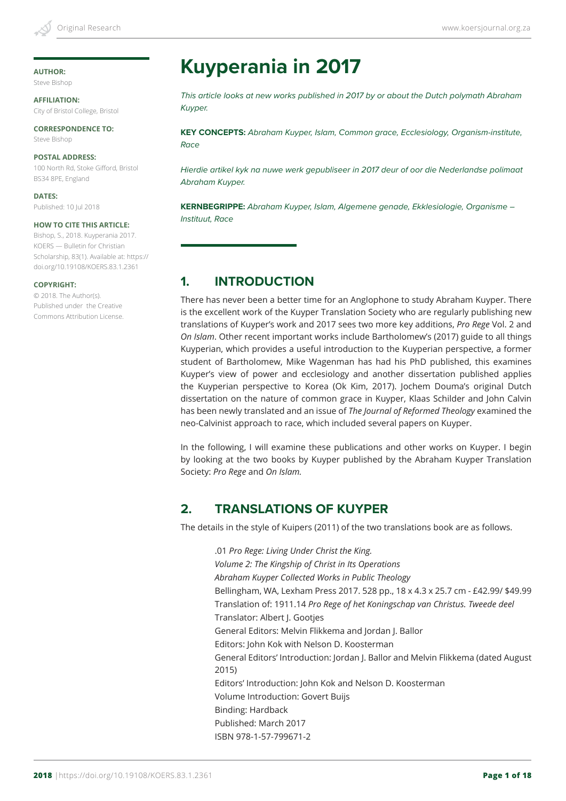#### **AUTHOR:** Steve Bishop

**AFFILIATION:** City of Bristol College, Bristol

**CORRESPONDENCE TO:** Steve Bishop

#### **POSTAL ADDRESS:** 100 North Rd, Stoke Gifford, Bristol BS34 8PE, England

**DATES:** Published: 10 Jul 2018

#### **HOW TO CITE THIS ARTICLE:**

Bishop, S., 2018. Kuyperania 2017. KOERS — Bulletin for Christian Scholarship, 83(1). Available at: https:// doi.org/10.19108/KOERS.83.1.2361

#### **COPYRIGHT:**

© 2018. The Author(s). Published under the Creative Commons Attribution License.

# **Kuyperania in 2017**

*This article looks at new works published in 2017 by or about the Dutch polymath Abraham Kuyper.*

**KEY CONCEPTS:** *Abraham Kuyper, Islam, Common grace, Ecclesiology, Organism-institute, Race* 

*Hierdie artikel kyk na nuwe werk gepubliseer in 2017 deur of oor die Nederlandse polimaat Abraham Kuyper.* 

**KERNBEGRIPPE:** *Abraham Kuyper, Islam, Algemene genade, Ekklesiologie, Organisme – Instituut, Race*

# **1. INTRODUCTION**

There has never been a better time for an Anglophone to study Abraham Kuyper. There is the excellent work of the Kuyper Translation Society who are regularly publishing new translations of Kuyper's work and 2017 sees two more key additions, *Pro Rege* Vol. 2 and *On Islam*. Other recent important works include Bartholomew's (2017) guide to all things Kuyperian, which provides a useful introduction to the Kuyperian perspective, a former student of Bartholomew, Mike Wagenman has had his PhD published, this examines Kuyper's view of power and ecclesiology and another dissertation published applies the Kuyperian perspective to Korea (Ok Kim, 2017). Jochem Douma's original Dutch dissertation on the nature of common grace in Kuyper, Klaas Schilder and John Calvin has been newly translated and an issue of *The Journal of Reformed Theology* examined the neo-Calvinist approach to race, which included several papers on Kuyper.

In the following, I will examine these publications and other works on Kuyper. I begin by looking at the two books by Kuyper published by the Abraham Kuyper Translation Society: *Pro Rege* and *On Islam.*

# **2. TRANSLATIONS OF KUYPER**

The details in the style of Kuipers (2011) of the two translations book are as follows.

.01 *Pro Rege: Living Under Christ the King. Volume 2: The Kingship of Christ in Its Operations Abraham Kuyper Collected Works in Public Theology* Bellingham, WA, Lexham Press 2017. 528 pp., 18 x 4.3 x 25.7 cm - £42.99/ \$49.99 Translation of: 1911.14 *Pro Rege of het Koningschap van Christus. Tweede deel*  Translator: Albert J. Gootjes General Editors: Melvin Flikkema and Jordan J. Ballor Editors: John Kok with Nelson D. Koosterman General Editors' Introduction: Jordan J. Ballor and Melvin Flikkema (dated August 2015) Editors' Introduction: John Kok and Nelson D. Koosterman Volume Introduction: Govert Buijs Binding: Hardback Published: March 2017 ISBN 978-1-57-799671-2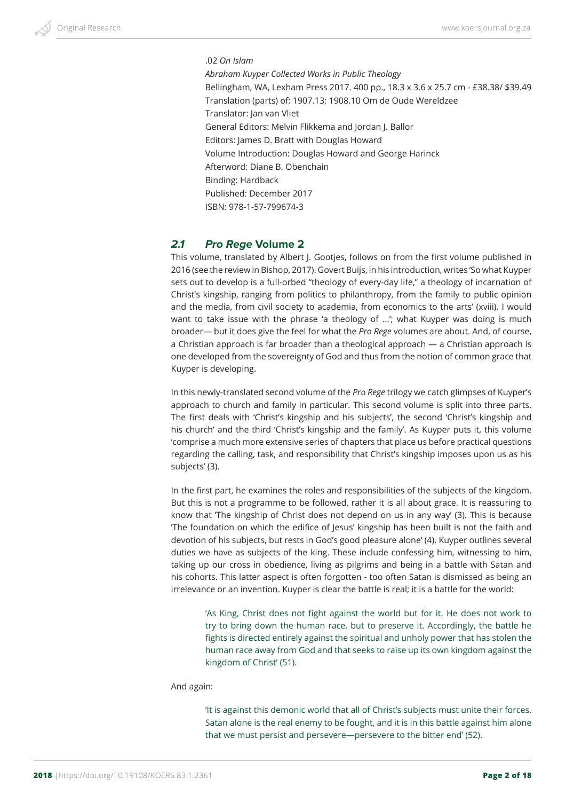#### .02 *On Islam*

*Abraham Kuyper Collected Works in Public Theology* Bellingham, WA, Lexham Press 2017. 400 pp., 18.3 x 3.6 x 25.7 cm - £38.38/ \$39.49 Translation (parts) of: 1907.13; 1908.10 Om de Oude Wereldzee Translator: Jan van Vliet General Editors: Melvin Flikkema and Jordan J. Ballor Editors: James D. Bratt with Douglas Howard Volume Introduction: Douglas Howard and George Harinck Afterword: Diane B. Obenchain Binding: Hardback Published: December 2017 ISBN: 978-1-57-799674-3

## *2.1 Pro Rege* **Volume 2**

This volume, translated by Albert J. Gootjes, follows on from the first volume published in 2016 (see the review in Bishop, 2017). Govert Buijs, in his introduction, writes 'So what Kuyper sets out to develop is a full-orbed "theology of every-day life," a theology of incarnation of Christ's kingship, ranging from politics to philanthropy, from the family to public opinion and the media, from civil society to academia, from economics to the arts' (xviii). I would want to take issue with the phrase 'a theology of …'; what Kuyper was doing is much broader— but it does give the feel for what the *Pro Rege* volumes are about. And, of course, a Christian approach is far broader than a theological approach — a Christian approach is one developed from the sovereignty of God and thus from the notion of common grace that Kuyper is developing.

In this newly-translated second volume of the *Pro Rege* trilogy we catch glimpses of Kuyper's approach to church and family in particular. This second volume is split into three parts. The first deals with 'Christ's kingship and his subjects', the second 'Christ's kingship and his church' and the third 'Christ's kingship and the family'. As Kuyper puts it, this volume 'comprise a much more extensive series of chapters that place us before practical questions regarding the calling, task, and responsibility that Christ's kingship imposes upon us as his subjects' (3).

In the first part, he examines the roles and responsibilities of the subjects of the kingdom. But this is not a programme to be followed, rather it is all about grace. It is reassuring to know that 'The kingship of Christ does not depend on us in any way' (3). This is because 'The foundation on which the edifice of Jesus' kingship has been built is not the faith and devotion of his subjects, but rests in God's good pleasure alone' (4). Kuyper outlines several duties we have as subjects of the king. These include confessing him, witnessing to him, taking up our cross in obedience, living as pilgrims and being in a battle with Satan and his cohorts. This latter aspect is often forgotten - too often Satan is dismissed as being an irrelevance or an invention. Kuyper is clear the battle is real; it is a battle for the world:

'As King, Christ does not fight against the world but for it. He does not work to try to bring down the human race, but to preserve it. Accordingly, the battle he fights is directed entirely against the spiritual and unholy power that has stolen the human race away from God and that seeks to raise up its own kingdom against the kingdom of Christ' (51).

#### And again:

'It is against this demonic world that all of Christ's subjects must unite their forces. Satan alone is the real enemy to be fought, and it is in this battle against him alone that we must persist and persevere—persevere to the bitter end' (52).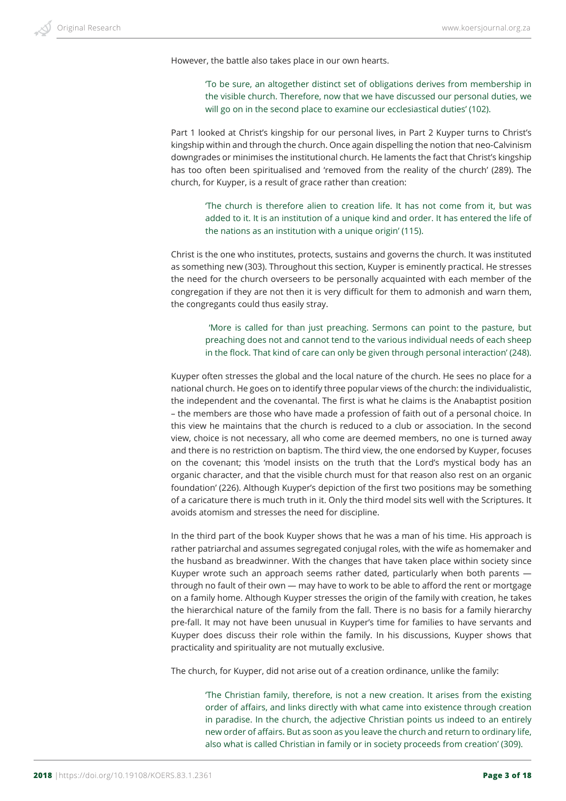However, the battle also takes place in our own hearts.

'To be sure, an altogether distinct set of obligations derives from membership in the visible church. Therefore, now that we have discussed our personal duties, we will go on in the second place to examine our ecclesiastical duties' (102).

Part 1 looked at Christ's kingship for our personal lives, in Part 2 Kuyper turns to Christ's kingship within and through the church. Once again dispelling the notion that neo-Calvinism downgrades or minimises the institutional church. He laments the fact that Christ's kingship has too often been spiritualised and 'removed from the reality of the church' (289). The church, for Kuyper, is a result of grace rather than creation:

'The church is therefore alien to creation life. It has not come from it, but was added to it. It is an institution of a unique kind and order. It has entered the life of the nations as an institution with a unique origin' (115).

Christ is the one who institutes, protects, sustains and governs the church. It was instituted as something new (303). Throughout this section, Kuyper is eminently practical. He stresses the need for the church overseers to be personally acquainted with each member of the congregation if they are not then it is very difficult for them to admonish and warn them, the congregants could thus easily stray.

 'More is called for than just preaching. Sermons can point to the pasture, but preaching does not and cannot tend to the various individual needs of each sheep in the flock. That kind of care can only be given through personal interaction' (248).

Kuyper often stresses the global and the local nature of the church. He sees no place for a national church. He goes on to identify three popular views of the church: the individualistic, the independent and the covenantal. The first is what he claims is the Anabaptist position – the members are those who have made a profession of faith out of a personal choice. In this view he maintains that the church is reduced to a club or association. In the second view, choice is not necessary, all who come are deemed members, no one is turned away and there is no restriction on baptism. The third view, the one endorsed by Kuyper, focuses on the covenant; this 'model insists on the truth that the Lord's mystical body has an organic character, and that the visible church must for that reason also rest on an organic foundation' (226). Although Kuyper's depiction of the first two positions may be something of a caricature there is much truth in it. Only the third model sits well with the Scriptures. It avoids atomism and stresses the need for discipline.

In the third part of the book Kuyper shows that he was a man of his time. His approach is rather patriarchal and assumes segregated conjugal roles, with the wife as homemaker and the husband as breadwinner. With the changes that have taken place within society since Kuyper wrote such an approach seems rather dated, particularly when both parents through no fault of their own — may have to work to be able to afford the rent or mortgage on a family home. Although Kuyper stresses the origin of the family with creation, he takes the hierarchical nature of the family from the fall. There is no basis for a family hierarchy pre-fall. It may not have been unusual in Kuyper's time for families to have servants and Kuyper does discuss their role within the family. In his discussions, Kuyper shows that practicality and spirituality are not mutually exclusive.

The church, for Kuyper, did not arise out of a creation ordinance, unlike the family:

'The Christian family, therefore, is not a new creation. It arises from the existing order of affairs, and links directly with what came into existence through creation in paradise. In the church, the adjective Christian points us indeed to an entirely new order of affairs. But as soon as you leave the church and return to ordinary life, also what is called Christian in family or in society proceeds from creation' (309).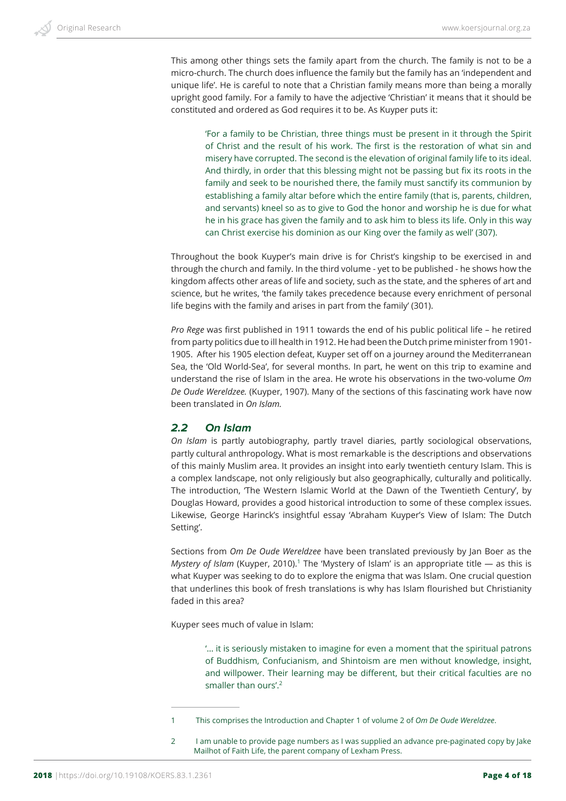This among other things sets the family apart from the church. The family is not to be a micro-church. The church does influence the family but the family has an 'independent and unique life'. He is careful to note that a Christian family means more than being a morally upright good family. For a family to have the adjective 'Christian' it means that it should be constituted and ordered as God requires it to be. As Kuyper puts it:

'For a family to be Christian, three things must be present in it through the Spirit of Christ and the result of his work. The first is the restoration of what sin and misery have corrupted. The second is the elevation of original family life to its ideal. And thirdly, in order that this blessing might not be passing but fix its roots in the family and seek to be nourished there, the family must sanctify its communion by establishing a family altar before which the entire family (that is, parents, children, and servants) kneel so as to give to God the honor and worship he is due for what he in his grace has given the family and to ask him to bless its life. Only in this way can Christ exercise his dominion as our King over the family as well' (307).

Throughout the book Kuyper's main drive is for Christ's kingship to be exercised in and through the church and family. In the third volume - yet to be published - he shows how the kingdom affects other areas of life and society, such as the state, and the spheres of art and science, but he writes, 'the family takes precedence because every enrichment of personal life begins with the family and arises in part from the family' (301).

*Pro Rege* was first published in 1911 towards the end of his public political life – he retired from party politics due to ill health in 1912. He had been the Dutch prime minister from 1901- 1905. After his 1905 election defeat, Kuyper set off on a journey around the Mediterranean Sea, the 'Old World-Sea', for several months. In part, he went on this trip to examine and understand the rise of Islam in the area. He wrote his observations in the two-volume *Om De Oude Wereldzee.* (Kuyper, 1907). Many of the sections of this fascinating work have now been translated in *On Islam.*

## *2.2 On Islam*

*On Islam* is partly autobiography, partly travel diaries, partly sociological observations, partly cultural anthropology. What is most remarkable is the descriptions and observations of this mainly Muslim area. It provides an insight into early twentieth century Islam. This is a complex landscape, not only religiously but also geographically, culturally and politically. The introduction, 'The Western Islamic World at the Dawn of the Twentieth Century', by Douglas Howard, provides a good historical introduction to some of these complex issues. Likewise, George Harinck's insightful essay 'Abraham Kuyper's View of Islam: The Dutch Setting'.

Sections from *Om De Oude Wereldzee* have been translated previously by Jan Boer as the *Mystery of Islam* (Kuyper, 2010).<sup>1</sup> The 'Mystery of Islam' is an appropriate title — as this is what Kuyper was seeking to do to explore the enigma that was Islam. One crucial question that underlines this book of fresh translations is why has Islam flourished but Christianity faded in this area?

Kuyper sees much of value in Islam:

'… it is seriously mistaken to imagine for even a moment that the spiritual patrons of Buddhism, Confucianism, and Shintoism are men without knowledge, insight, and willpower. Their learning may be different, but their critical faculties are no smaller than ours'.2

<sup>1</sup> This comprises the Introduction and Chapter 1 of volume 2 of *Om De Oude Wereldzee*.

<sup>2</sup> I am unable to provide page numbers as I was supplied an advance pre-paginated copy by Jake Mailhot of Faith Life, the parent company of Lexham Press.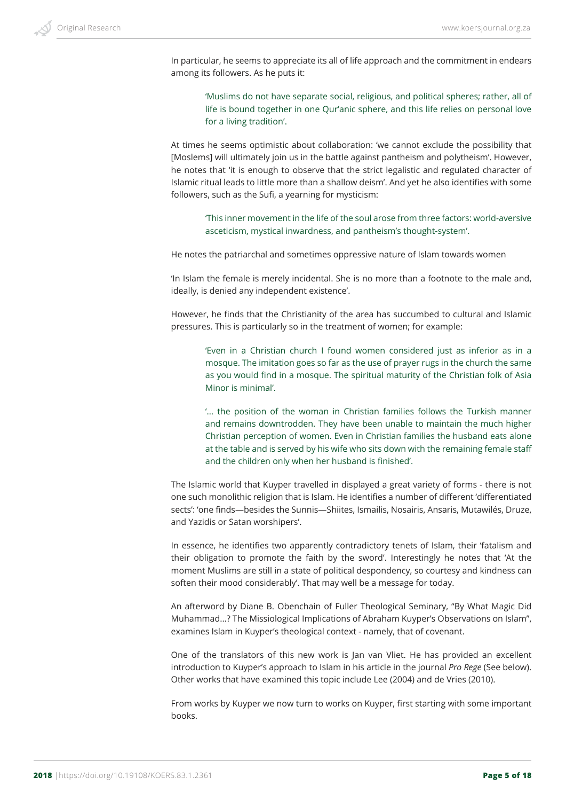In particular, he seems to appreciate its all of life approach and the commitment in endears among its followers. As he puts it:

'Muslims do not have separate social, religious, and political spheres; rather, all of life is bound together in one Qur'anic sphere, and this life relies on personal love for a living tradition'.

At times he seems optimistic about collaboration: 'we cannot exclude the possibility that [Moslems] will ultimately join us in the battle against pantheism and polytheism'. However, he notes that 'it is enough to observe that the strict legalistic and regulated character of Islamic ritual leads to little more than a shallow deism'. And yet he also identifies with some followers, such as the Sufi, a yearning for mysticism:

'This inner movement in the life of the soul arose from three factors: world-aversive asceticism, mystical inwardness, and pantheism's thought-system'.

He notes the patriarchal and sometimes oppressive nature of Islam towards women

'In Islam the female is merely incidental. She is no more than a footnote to the male and, ideally, is denied any independent existence'.

However, he finds that the Christianity of the area has succumbed to cultural and Islamic pressures. This is particularly so in the treatment of women; for example:

'Even in a Christian church I found women considered just as inferior as in a mosque. The imitation goes so far as the use of prayer rugs in the church the same as you would find in a mosque. The spiritual maturity of the Christian folk of Asia Minor is minimal'.

'… the position of the woman in Christian families follows the Turkish manner and remains downtrodden. They have been unable to maintain the much higher Christian perception of women. Even in Christian families the husband eats alone at the table and is served by his wife who sits down with the remaining female staff and the children only when her husband is finished'.

The Islamic world that Kuyper travelled in displayed a great variety of forms - there is not one such monolithic religion that is Islam. He identifies a number of different 'differentiated sects': 'one finds—besides the Sunnis—Shiites, Ismailis, Nosairis, Ansaris, Mutawilés, Druze, and Yazidis or Satan worshipers'.

In essence, he identifies two apparently contradictory tenets of Islam, their 'fatalism and their obligation to promote the faith by the sword'. Interestingly he notes that 'At the moment Muslims are still in a state of political despondency, so courtesy and kindness can soften their mood considerably'. That may well be a message for today.

An afterword by Diane B. Obenchain of Fuller Theological Seminary, "By What Magic Did Muhammad...? The Missiological Implications of Abraham Kuyper's Observations on Islam", examines Islam in Kuyper's theological context - namely, that of covenant.

One of the translators of this new work is Jan van Vliet. He has provided an excellent introduction to Kuyper's approach to Islam in his article in the journal *Pro Rege* (See below). Other works that have examined this topic include Lee (2004) and de Vries (2010).

From works by Kuyper we now turn to works on Kuyper, first starting with some important books.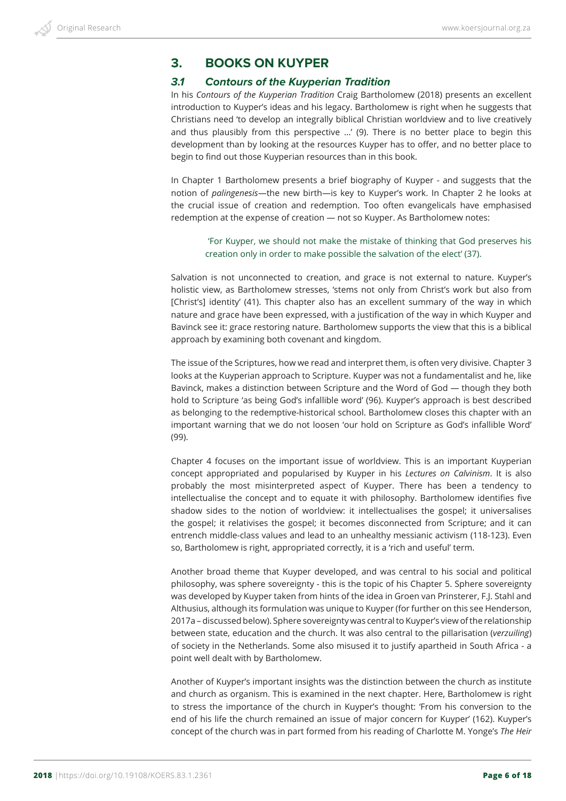# **3. BOOKS ON KUYPER**

## *3.1 Contours of the Kuyperian Tradition*

In his *Contours of the Kuyperian Tradition* Craig Bartholomew (2018) presents an excellent introduction to Kuyper's ideas and his legacy. Bartholomew is right when he suggests that Christians need 'to develop an integrally biblical Christian worldview and to live creatively and thus plausibly from this perspective …' (9). There is no better place to begin this development than by looking at the resources Kuyper has to offer, and no better place to begin to find out those Kuyperian resources than in this book.

In Chapter 1 Bartholomew presents a brief biography of Kuyper - and suggests that the notion of *palingenesis*—the new birth—is key to Kuyper's work. In Chapter 2 he looks at the crucial issue of creation and redemption. Too often evangelicals have emphasised redemption at the expense of creation — not so Kuyper. As Bartholomew notes:

 'For Kuyper, we should not make the mistake of thinking that God preserves his creation only in order to make possible the salvation of the elect' (37).

Salvation is not unconnected to creation, and grace is not external to nature. Kuyper's holistic view, as Bartholomew stresses, 'stems not only from Christ's work but also from [Christ's] identity' (41). This chapter also has an excellent summary of the way in which nature and grace have been expressed, with a justification of the way in which Kuyper and Bavinck see it: grace restoring nature. Bartholomew supports the view that this is a biblical approach by examining both covenant and kingdom.

The issue of the Scriptures, how we read and interpret them, is often very divisive. Chapter 3 looks at the Kuyperian approach to Scripture. Kuyper was not a fundamentalist and he, like Bavinck, makes a distinction between Scripture and the Word of God — though they both hold to Scripture 'as being God's infallible word' (96). Kuyper's approach is best described as belonging to the redemptive-historical school. Bartholomew closes this chapter with an important warning that we do not loosen 'our hold on Scripture as God's infallible Word' (99).

Chapter 4 focuses on the important issue of worldview. This is an important Kuyperian concept appropriated and popularised by Kuyper in his *Lectures on Calvinism*. It is also probably the most misinterpreted aspect of Kuyper. There has been a tendency to intellectualise the concept and to equate it with philosophy. Bartholomew identifies five shadow sides to the notion of worldview: it intellectualises the gospel; it universalises the gospel; it relativises the gospel; it becomes disconnected from Scripture; and it can entrench middle-class values and lead to an unhealthy messianic activism (118-123). Even so, Bartholomew is right, appropriated correctly, it is a 'rich and useful' term.

Another broad theme that Kuyper developed, and was central to his social and political philosophy, was sphere sovereignty - this is the topic of his Chapter 5. Sphere sovereignty was developed by Kuyper taken from hints of the idea in Groen van Prinsterer, F.J. Stahl and Althusius, although its formulation was unique to Kuyper (for further on this see Henderson, 2017a – discussed below). Sphere sovereignty was central to Kuyper's view of the relationship between state, education and the church. It was also central to the pillarisation (*verzuiling*) of society in the Netherlands. Some also misused it to justify apartheid in South Africa - a point well dealt with by Bartholomew.

Another of Kuyper's important insights was the distinction between the church as institute and church as organism. This is examined in the next chapter. Here, Bartholomew is right to stress the importance of the church in Kuyper's thought: 'From his conversion to the end of his life the church remained an issue of major concern for Kuyper' (162). Kuyper's concept of the church was in part formed from his reading of Charlotte M. Yonge's *The Heir*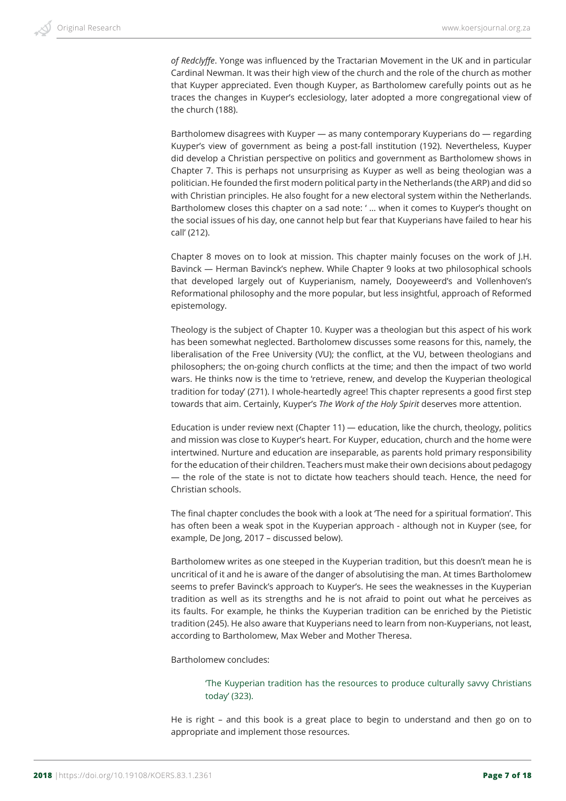*of Redclyffe*. Yonge was influenced by the Tractarian Movement in the UK and in particular Cardinal Newman. It was their high view of the church and the role of the church as mother that Kuyper appreciated. Even though Kuyper, as Bartholomew carefully points out as he traces the changes in Kuyper's ecclesiology, later adopted a more congregational view of the church (188).

Bartholomew disagrees with Kuyper — as many contemporary Kuyperians do — regarding Kuyper's view of government as being a post-fall institution (192). Nevertheless, Kuyper did develop a Christian perspective on politics and government as Bartholomew shows in Chapter 7. This is perhaps not unsurprising as Kuyper as well as being theologian was a politician. He founded the first modern political party in the Netherlands (the ARP) and did so with Christian principles. He also fought for a new electoral system within the Netherlands. Bartholomew closes this chapter on a sad note: ' … when it comes to Kuyper's thought on the social issues of his day, one cannot help but fear that Kuyperians have failed to hear his call' (212).

Chapter 8 moves on to look at mission. This chapter mainly focuses on the work of J.H. Bavinck — Herman Bavinck's nephew. While Chapter 9 looks at two philosophical schools that developed largely out of Kuyperianism, namely, Dooyeweerd's and Vollenhoven's Reformational philosophy and the more popular, but less insightful, approach of Reformed epistemology.

Theology is the subject of Chapter 10. Kuyper was a theologian but this aspect of his work has been somewhat neglected. Bartholomew discusses some reasons for this, namely, the liberalisation of the Free University (VU); the conflict, at the VU, between theologians and philosophers; the on-going church conflicts at the time; and then the impact of two world wars. He thinks now is the time to 'retrieve, renew, and develop the Kuyperian theological tradition for today' (271). I whole-heartedly agree! This chapter represents a good first step towards that aim. Certainly, Kuyper's *The Work of the Holy Spirit* deserves more attention.

Education is under review next (Chapter 11) — education, like the church, theology, politics and mission was close to Kuyper's heart. For Kuyper, education, church and the home were intertwined. Nurture and education are inseparable, as parents hold primary responsibility for the education of their children. Teachers must make their own decisions about pedagogy — the role of the state is not to dictate how teachers should teach. Hence, the need for Christian schools.

The final chapter concludes the book with a look at 'The need for a spiritual formation'. This has often been a weak spot in the Kuyperian approach - although not in Kuyper (see, for example, De Jong, 2017 – discussed below).

Bartholomew writes as one steeped in the Kuyperian tradition, but this doesn't mean he is uncritical of it and he is aware of the danger of absolutising the man. At times Bartholomew seems to prefer Bavinck's approach to Kuyper's. He sees the weaknesses in the Kuyperian tradition as well as its strengths and he is not afraid to point out what he perceives as its faults. For example, he thinks the Kuyperian tradition can be enriched by the Pietistic tradition (245). He also aware that Kuyperians need to learn from non-Kuyperians, not least, according to Bartholomew, Max Weber and Mother Theresa.

Bartholomew concludes:

'The Kuyperian tradition has the resources to produce culturally savvy Christians today' (323).

He is right – and this book is a great place to begin to understand and then go on to appropriate and implement those resources.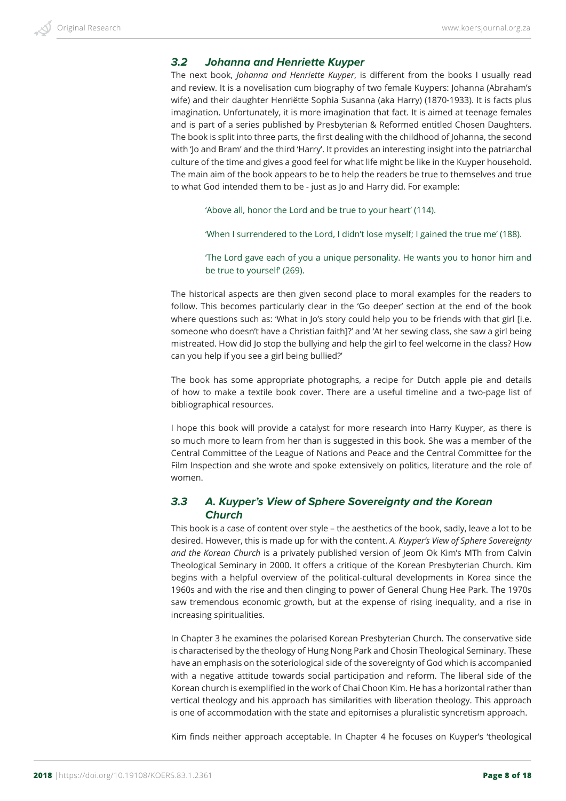## *3.2 Johanna and Henriette Kuyper*

The next book, *Johanna and Henriette Kuyper*, is different from the books I usually read and review. It is a novelisation cum biography of two female Kuypers: Johanna (Abraham's wife) and their daughter Henriëtte Sophia Susanna (aka Harry) (1870-1933). It is facts plus imagination. Unfortunately, it is more imagination that fact. It is aimed at teenage females and is part of a series published by Presbyterian & Reformed entitled Chosen Daughters. The book is split into three parts, the first dealing with the childhood of Johanna, the second with 'Jo and Bram' and the third 'Harry'. It provides an interesting insight into the patriarchal culture of the time and gives a good feel for what life might be like in the Kuyper household. The main aim of the book appears to be to help the readers be true to themselves and true to what God intended them to be - just as Jo and Harry did. For example:

'Above all, honor the Lord and be true to your heart' (114).

'When I surrendered to the Lord, I didn't lose myself; I gained the true me' (188).

'The Lord gave each of you a unique personality. He wants you to honor him and be true to yourself' (269).

The historical aspects are then given second place to moral examples for the readers to follow. This becomes particularly clear in the 'Go deeper' section at the end of the book where questions such as: 'What in Jo's story could help you to be friends with that girl [i.e. someone who doesn't have a Christian faith]?' and 'At her sewing class, she saw a girl being mistreated. How did Jo stop the bullying and help the girl to feel welcome in the class? How can you help if you see a girl being bullied?'

The book has some appropriate photographs, a recipe for Dutch apple pie and details of how to make a textile book cover. There are a useful timeline and a two-page list of bibliographical resources.

I hope this book will provide a catalyst for more research into Harry Kuyper, as there is so much more to learn from her than is suggested in this book. She was a member of the Central Committee of the League of Nations and Peace and the Central Committee for the Film Inspection and she wrote and spoke extensively on politics, literature and the role of women.

# *3.3 A. Kuyper's View of Sphere Sovereignty and the Korean Church*

This book is a case of content over style – the aesthetics of the book, sadly, leave a lot to be desired. However, this is made up for with the content. *A. Kuyper's View of Sphere Sovereignty and the Korean Church* is a privately published version of Jeom Ok Kim's MTh from Calvin Theological Seminary in 2000. It offers a critique of the Korean Presbyterian Church. Kim begins with a helpful overview of the political-cultural developments in Korea since the 1960s and with the rise and then clinging to power of General Chung Hee Park. The 1970s saw tremendous economic growth, but at the expense of rising inequality, and a rise in increasing spiritualities.

In Chapter 3 he examines the polarised Korean Presbyterian Church. The conservative side is characterised by the theology of Hung Nong Park and Chosin Theological Seminary. These have an emphasis on the soteriological side of the sovereignty of God which is accompanied with a negative attitude towards social participation and reform. The liberal side of the Korean church is exemplified in the work of Chai Choon Kim. He has a horizontal rather than vertical theology and his approach has similarities with liberation theology. This approach is one of accommodation with the state and epitomises a pluralistic syncretism approach.

Kim finds neither approach acceptable. In Chapter 4 he focuses on Kuyper's 'theological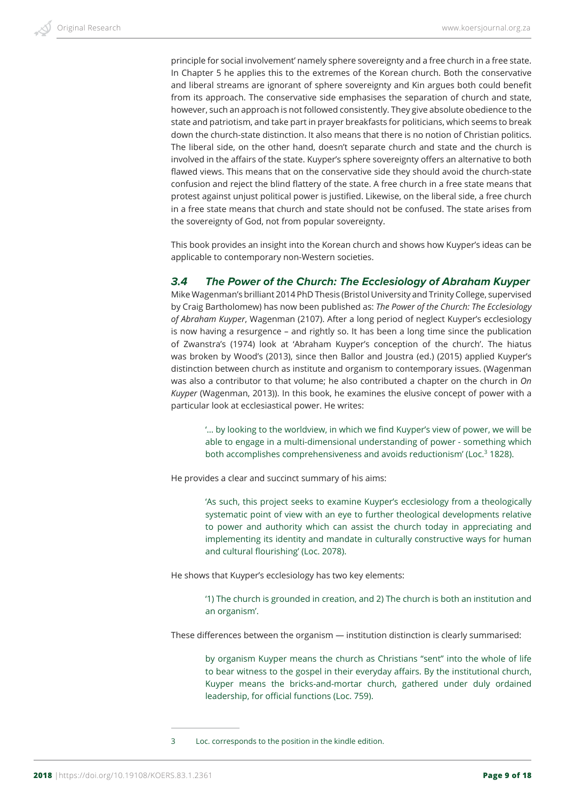principle for social involvement' namely sphere sovereignty and a free church in a free state. In Chapter 5 he applies this to the extremes of the Korean church. Both the conservative and liberal streams are ignorant of sphere sovereignty and Kin argues both could benefit from its approach. The conservative side emphasises the separation of church and state, however, such an approach is not followed consistently. They give absolute obedience to the state and patriotism, and take part in prayer breakfasts for politicians, which seems to break down the church-state distinction. It also means that there is no notion of Christian politics. The liberal side, on the other hand, doesn't separate church and state and the church is involved in the affairs of the state. Kuyper's sphere sovereignty offers an alternative to both flawed views. This means that on the conservative side they should avoid the church-state confusion and reject the blind flattery of the state. A free church in a free state means that protest against unjust political power is justified. Likewise, on the liberal side, a free church in a free state means that church and state should not be confused. The state arises from the sovereignty of God, not from popular sovereignty.

This book provides an insight into the Korean church and shows how Kuyper's ideas can be applicable to contemporary non-Western societies.

## *3.4 The Power of the Church: The Ecclesiology of Abraham Kuyper*

Mike Wagenman's brilliant 2014 PhD Thesis (Bristol University and Trinity College, supervised by Craig Bartholomew) has now been published as: *The Power of the Church: The Ecclesiology of Abraham Kuyper*, Wagenman (2107). After a long period of neglect Kuyper's ecclesiology is now having a resurgence – and rightly so. It has been a long time since the publication of Zwanstra's (1974) look at 'Abraham Kuyper's conception of the church'. The hiatus was broken by Wood's (2013), since then Ballor and Joustra (ed.) (2015) applied Kuyper's distinction between church as institute and organism to contemporary issues. (Wagenman was also a contributor to that volume; he also contributed a chapter on the church in *On Kuyper* (Wagenman, 2013)). In this book, he examines the elusive concept of power with a particular look at ecclesiastical power. He writes:

'… by looking to the worldview, in which we find Kuyper's view of power, we will be able to engage in a multi-dimensional understanding of power - something which both accomplishes comprehensiveness and avoids reductionism' (Loc.<sup>3</sup> 1828).

He provides a clear and succinct summary of his aims:

'As such, this project seeks to examine Kuyper's ecclesiology from a theologically systematic point of view with an eye to further theological developments relative to power and authority which can assist the church today in appreciating and implementing its identity and mandate in culturally constructive ways for human and cultural flourishing' (Loc. 2078).

He shows that Kuyper's ecclesiology has two key elements:

'1) The church is grounded in creation, and 2) The church is both an institution and an organism'.

These differences between the organism — institution distinction is clearly summarised:

by organism Kuyper means the church as Christians "sent" into the whole of life to bear witness to the gospel in their everyday affairs. By the institutional church, Kuyper means the bricks-and-mortar church, gathered under duly ordained leadership, for official functions (Loc. 759).

<sup>3</sup> Loc. corresponds to the position in the kindle edition.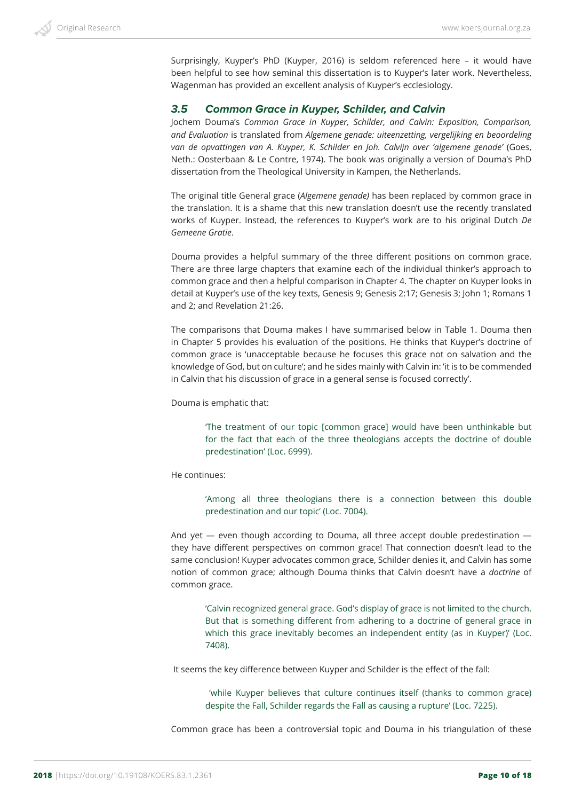Surprisingly, Kuyper's PhD (Kuyper, 2016) is seldom referenced here – it would have been helpful to see how seminal this dissertation is to Kuyper's later work. Nevertheless, Wagenman has provided an excellent analysis of Kuyper's ecclesiology.

## *3.5 Common Grace in Kuyper, Schilder, and Calvin*

Jochem Douma's *Common Grace in Kuyper, Schilder, and Calvin: Exposition, Comparison, and Evaluation* is translated from *Algemene genade: uiteenzetting, vergelijking en beoordeling van de opvattingen van A. Kuyper, K. Schilder en Joh. Calvijn over 'algemene genade'* (Goes, Neth.: Oosterbaan & Le Contre, 1974). The book was originally a version of Douma's PhD dissertation from the Theological University in Kampen, the Netherlands.

The original title General grace (*Algemene genade)* has been replaced by common grace in the translation. It is a shame that this new translation doesn't use the recently translated works of Kuyper. Instead, the references to Kuyper's work are to his original Dutch *De Gemeene Gratie*.

Douma provides a helpful summary of the three different positions on common grace. There are three large chapters that examine each of the individual thinker's approach to common grace and then a helpful comparison in Chapter 4. The chapter on Kuyper looks in detail at Kuyper's use of the key texts, Genesis 9; Genesis 2:17; Genesis 3; John 1; Romans 1 and 2; and Revelation 21:26.

The comparisons that Douma makes I have summarised below in Table 1. Douma then in Chapter 5 provides his evaluation of the positions. He thinks that Kuyper's doctrine of common grace is 'unacceptable because he focuses this grace not on salvation and the knowledge of God, but on culture'; and he sides mainly with Calvin in: 'it is to be commended in Calvin that his discussion of grace in a general sense is focused correctly'.

Douma is emphatic that:

'The treatment of our topic [common grace] would have been unthinkable but for the fact that each of the three theologians accepts the doctrine of double predestination' (Loc. 6999).

He continues:

'Among all three theologians there is a connection between this double predestination and our topic' (Loc. 7004).

And yet — even though according to Douma, all three accept double predestination they have different perspectives on common grace! That connection doesn't lead to the same conclusion! Kuyper advocates common grace, Schilder denies it, and Calvin has some notion of common grace; although Douma thinks that Calvin doesn't have a *doctrine* of common grace.

'Calvin recognized general grace. God's display of grace is not limited to the church. But that is something different from adhering to a doctrine of general grace in which this grace inevitably becomes an independent entity (as in Kuyper)' (Loc. 7408).

It seems the key difference between Kuyper and Schilder is the effect of the fall:

 'while Kuyper believes that culture continues itself (thanks to common grace) despite the Fall, Schilder regards the Fall as causing a rupture' (Loc. 7225).

Common grace has been a controversial topic and Douma in his triangulation of these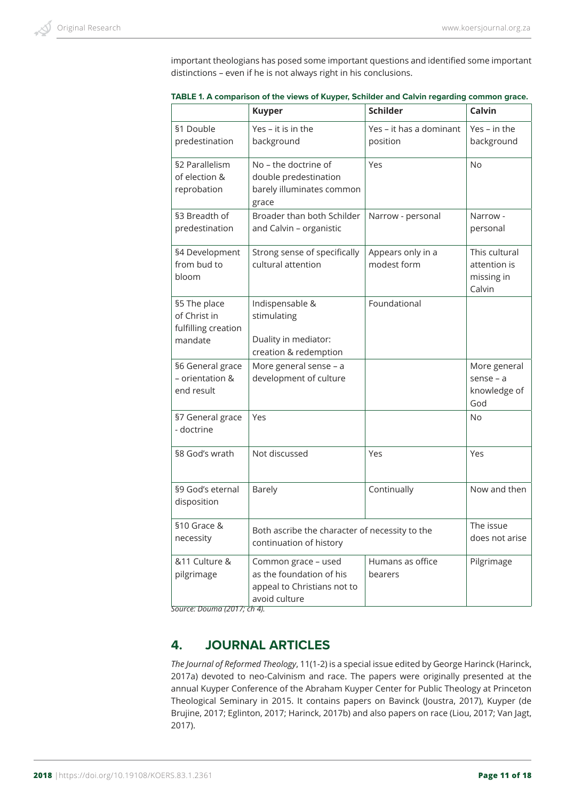important theologians has posed some important questions and identified some important distinctions – even if he is not always right in his conclusions.

|                                                                | <b>Kuyper</b>                                                                                   | <b>Schilder</b>                     | Calvin                                                |
|----------------------------------------------------------------|-------------------------------------------------------------------------------------------------|-------------------------------------|-------------------------------------------------------|
| §1 Double<br>predestination                                    | Yes - it is in the<br>background                                                                | Yes - it has a dominant<br>position | $Yes - in the$<br>background                          |
| §2 Parallelism<br>of election &<br>reprobation                 | No - the doctrine of<br>double predestination<br>barely illuminates common<br>grace             | Yes                                 | <b>No</b>                                             |
| §3 Breadth of<br>predestination                                | Broader than both Schilder<br>and Calvin - organistic                                           | Narrow - personal                   | Narrow -<br>personal                                  |
| §4 Development<br>from bud to<br>bloom                         | Strong sense of specifically<br>cultural attention                                              | Appears only in a<br>modest form    | This cultural<br>attention is<br>missing in<br>Calvin |
| §5 The place<br>of Christ in<br>fulfilling creation<br>mandate | Indispensable &<br>stimulating<br>Duality in mediator:<br>creation & redemption                 | Foundational                        |                                                       |
| §6 General grace<br>- orientation &<br>end result              | More general sense - a<br>development of culture                                                |                                     | More general<br>$sense - a$<br>knowledge of<br>God    |
| §7 General grace<br>- doctrine                                 | Yes                                                                                             |                                     | <b>No</b>                                             |
| §8 God's wrath                                                 | Not discussed                                                                                   | Yes                                 | Yes                                                   |
| §9 God's eternal<br>disposition                                | <b>Barely</b>                                                                                   | Continually                         | Now and then                                          |
| §10 Grace &<br>necessity                                       | Both ascribe the character of necessity to the<br>continuation of history                       |                                     | The issue<br>does not arise                           |
| &11 Culture &<br>pilgrimage                                    | Common grace - used<br>as the foundation of his<br>appeal to Christians not to<br>avoid culture | Humans as office<br>bearers         | Pilgrimage                                            |

|  | TABLE 1. A comparison of the views of Kuyper, Schilder and Calvin regarding common grace. |
|--|-------------------------------------------------------------------------------------------|
|--|-------------------------------------------------------------------------------------------|

*Source: Douma (2017; ch 4).*

# **4. JOURNAL ARTICLES**

*The Journal of Reformed Theology*, 11(1-2) is a special issue edited by George Harinck (Harinck, 2017a) devoted to neo-Calvinism and race. The papers were originally presented at the annual Kuyper Conference of the Abraham Kuyper Center for Public Theology at Princeton Theological Seminary in 2015. It contains papers on Bavinck (Joustra, 2017), Kuyper (de Brujine, 2017; Eglinton, 2017; Harinck, 2017b) and also papers on race (Liou, 2017; Van Jagt, 2017).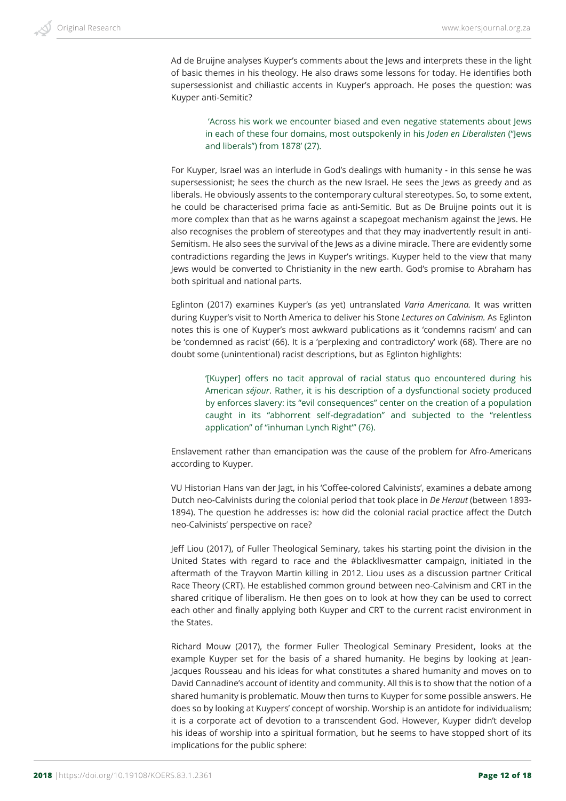Ad de Bruijne analyses Kuyper's comments about the Jews and interprets these in the light of basic themes in his theology. He also draws some lessons for today. He identifies both supersessionist and chiliastic accents in Kuyper's approach. He poses the question: was Kuyper anti-Semitic?

 'Across his work we encounter biased and even negative statements about Jews in each of these four domains, most outspokenly in his *Joden en Liberalisten* ("Jews and liberals") from 1878' (27).

For Kuyper, Israel was an interlude in God's dealings with humanity - in this sense he was supersessionist; he sees the church as the new Israel. He sees the Jews as greedy and as liberals. He obviously assents to the contemporary cultural stereotypes. So, to some extent, he could be characterised prima facie as anti-Semitic. But as De Bruijne points out it is more complex than that as he warns against a scapegoat mechanism against the Jews. He also recognises the problem of stereotypes and that they may inadvertently result in anti-Semitism. He also sees the survival of the Jews as a divine miracle. There are evidently some contradictions regarding the Jews in Kuyper's writings. Kuyper held to the view that many Jews would be converted to Christianity in the new earth. God's promise to Abraham has both spiritual and national parts.

Eglinton (2017) examines Kuyper's (as yet) untranslated *Varia Americana.* It was written during Kuyper's visit to North America to deliver his Stone *Lectures on Calvinism.* As Eglinton notes this is one of Kuyper's most awkward publications as it 'condemns racism' and can be 'condemned as racist' (66). It is a 'perplexing and contradictory' work (68). There are no doubt some (unintentional) racist descriptions, but as Eglinton highlights:

'[Kuyper] offers no tacit approval of racial status quo encountered during his American *séjour*. Rather, it is his description of a dysfunctional society produced by enforces slavery: its "evil consequences" center on the creation of a population caught in its "abhorrent self-degradation" and subjected to the "relentless application" of "inhuman Lynch Right"' (76).

Enslavement rather than emancipation was the cause of the problem for Afro-Americans according to Kuyper.

VU Historian Hans van der Jagt, in his 'Coffee-colored Calvinists', examines a debate among Dutch neo-Calvinists during the colonial period that took place in *De Heraut* (between 1893- 1894). The question he addresses is: how did the colonial racial practice affect the Dutch neo-Calvinists' perspective on race?

Jeff Liou (2017), of Fuller Theological Seminary, takes his starting point the division in the United States with regard to race and the #blacklivesmatter campaign, initiated in the aftermath of the Trayvon Martin killing in 2012. Liou uses as a discussion partner Critical Race Theory (CRT). He established common ground between neo-Calvinism and CRT in the shared critique of liberalism. He then goes on to look at how they can be used to correct each other and finally applying both Kuyper and CRT to the current racist environment in the States.

Richard Mouw (2017), the former Fuller Theological Seminary President, looks at the example Kuyper set for the basis of a shared humanity. He begins by looking at Jean-Jacques Rousseau and his ideas for what constitutes a shared humanity and moves on to David Cannadine's account of identity and community. All this is to show that the notion of a shared humanity is problematic. Mouw then turns to Kuyper for some possible answers. He does so by looking at Kuypers' concept of worship. Worship is an antidote for individualism; it is a corporate act of devotion to a transcendent God. However, Kuyper didn't develop his ideas of worship into a spiritual formation, but he seems to have stopped short of its implications for the public sphere: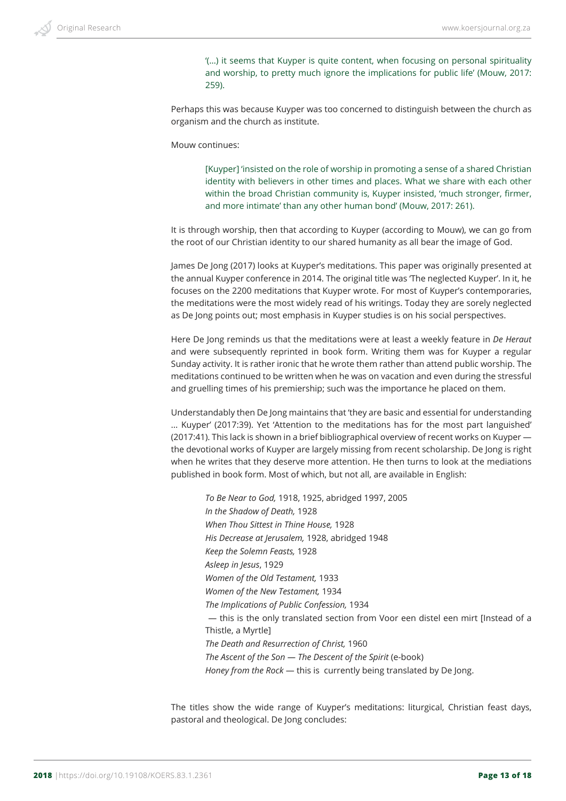'(…) it seems that Kuyper is quite content, when focusing on personal spirituality and worship, to pretty much ignore the implications for public life' (Mouw, 2017: 259).

Perhaps this was because Kuyper was too concerned to distinguish between the church as organism and the church as institute.

## Mouw continues:

[Kuyper] 'insisted on the role of worship in promoting a sense of a shared Christian identity with believers in other times and places. What we share with each other within the broad Christian community is, Kuyper insisted, 'much stronger, firmer, and more intimate' than any other human bond' (Mouw, 2017: 261).

It is through worship, then that according to Kuyper (according to Mouw), we can go from the root of our Christian identity to our shared humanity as all bear the image of God.

James De Jong (2017) looks at Kuyper's meditations. This paper was originally presented at the annual Kuyper conference in 2014. The original title was 'The neglected Kuyper'. In it, he focuses on the 2200 meditations that Kuyper wrote. For most of Kuyper's contemporaries, the meditations were the most widely read of his writings. Today they are sorely neglected as De Jong points out; most emphasis in Kuyper studies is on his social perspectives.

Here De Jong reminds us that the meditations were at least a weekly feature in *De Heraut* and were subsequently reprinted in book form. Writing them was for Kuyper a regular Sunday activity. It is rather ironic that he wrote them rather than attend public worship. The meditations continued to be written when he was on vacation and even during the stressful and gruelling times of his premiership; such was the importance he placed on them.

Understandably then De Jong maintains that 'they are basic and essential for understanding ... Kuyper' (2017:39). Yet 'Attention to the meditations has for the most part languished' (2017:41). This lack is shown in a brief bibliographical overview of recent works on Kuyper the devotional works of Kuyper are largely missing from recent scholarship. De Jong is right when he writes that they deserve more attention. He then turns to look at the mediations published in book form. Most of which, but not all, are available in English:

*To Be Near to God,* 1918, 1925, abridged 1997, 2005 *In the Shadow of Death,* 1928 *When Thou Sittest in Thine House,* 1928 *His Decrease at Jerusalem,* 1928, abridged 1948 *Keep the Solemn Feasts,* 1928 *Asleep in Jesus*, 1929 *Women of the Old Testament,* 1933 *Women of the New Testament,* 1934 *The Implications of Public Confession,* 1934 — this is the only translated section from Voor een distel een mirt [Instead of a Thistle, a Myrtle] *The Death and Resurrection of Christ,* 1960 *The Ascent of the Son — The Descent of the Spirit* (e-book) *Honey from the Rock* — this is currently being translated by De Jong.

The titles show the wide range of Kuyper's meditations: liturgical, Christian feast days, pastoral and theological. De Jong concludes: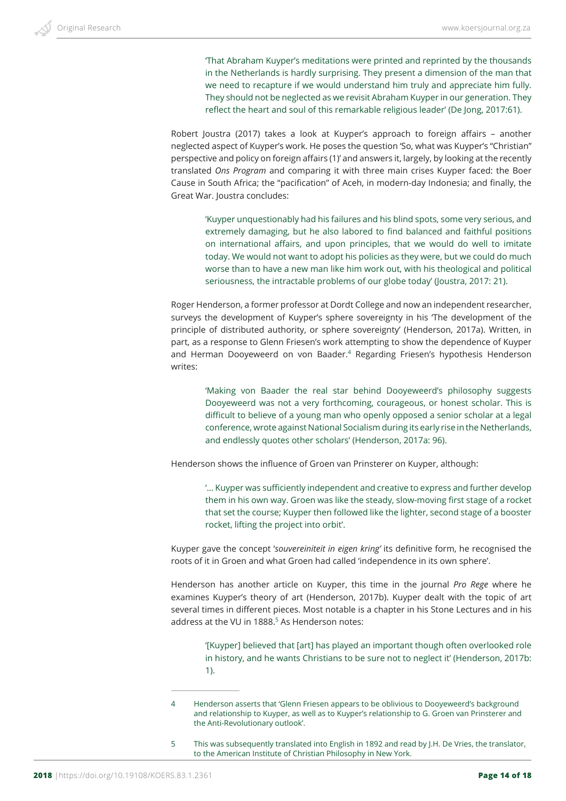'That Abraham Kuyper's meditations were printed and reprinted by the thousands in the Netherlands is hardly surprising. They present a dimension of the man that we need to recapture if we would understand him truly and appreciate him fully. They should not be neglected as we revisit Abraham Kuyper in our generation. They reflect the heart and soul of this remarkable religious leader' (De Jong, 2017:61).

Robert Joustra (2017) takes a look at Kuyper's approach to foreign affairs – another neglected aspect of Kuyper's work. He poses the question 'So, what was Kuyper's "Christian" perspective and policy on foreign affairs (1)' and answers it, largely, by looking at the recently translated *Ons Program* and comparing it with three main crises Kuyper faced: the Boer Cause in South Africa; the "pacification" of Aceh, in modern-day Indonesia; and finally, the Great War. Joustra concludes:

'Kuyper unquestionably had his failures and his blind spots, some very serious, and extremely damaging, but he also labored to find balanced and faithful positions on international affairs, and upon principles, that we would do well to imitate today. We would not want to adopt his policies as they were, but we could do much worse than to have a new man like him work out, with his theological and political seriousness, the intractable problems of our globe today' (Joustra, 2017: 21).

Roger Henderson, a former professor at Dordt College and now an independent researcher, surveys the development of Kuyper's sphere sovereignty in his 'The development of the principle of distributed authority, or sphere sovereignty' (Henderson, 2017a). Written, in part, as a response to Glenn Friesen's work attempting to show the dependence of Kuyper and Herman Dooyeweerd on von Baader.4 Regarding Friesen's hypothesis Henderson writes:

'Making von Baader the real star behind Dooyeweerd's philosophy suggests Dooyeweerd was not a very forthcoming, courageous, or honest scholar. This is difficult to believe of a young man who openly opposed a senior scholar at a legal conference, wrote against National Socialism during its early rise in the Netherlands, and endlessly quotes other scholars' (Henderson, 2017a: 96).

Henderson shows the influence of Groen van Prinsterer on Kuyper, although:

'… Kuyper was sufficiently independent and creative to express and further develop them in his own way. Groen was like the steady, slow-moving first stage of a rocket that set the course; Kuyper then followed like the lighter, second stage of a booster rocket, lifting the project into orbit'.

Kuyper gave the concept '*souvereiniteit in eigen kring'* its definitive form, he recognised the roots of it in Groen and what Groen had called 'independence in its own sphere'.

Henderson has another article on Kuyper, this time in the journal *Pro Rege* where he examines Kuyper's theory of art (Henderson, 2017b). Kuyper dealt with the topic of art several times in different pieces. Most notable is a chapter in his Stone Lectures and in his address at the VU in 1888.<sup>5</sup> As Henderson notes:

'[Kuyper] believed that [art] has played an important though often overlooked role in history, and he wants Christians to be sure not to neglect it' (Henderson, 2017b: 1).

<sup>4</sup> Henderson asserts that 'Glenn Friesen appears to be oblivious to Dooyeweerd's background and relationship to Kuyper, as well as to Kuyper's relationship to G. Groen van Prinsterer and the Anti-Revolutionary outlook'.

<sup>5</sup> This was subsequently translated into English in 1892 and read by J.H. De Vries, the translator, to the American Institute of Christian Philosophy in New York.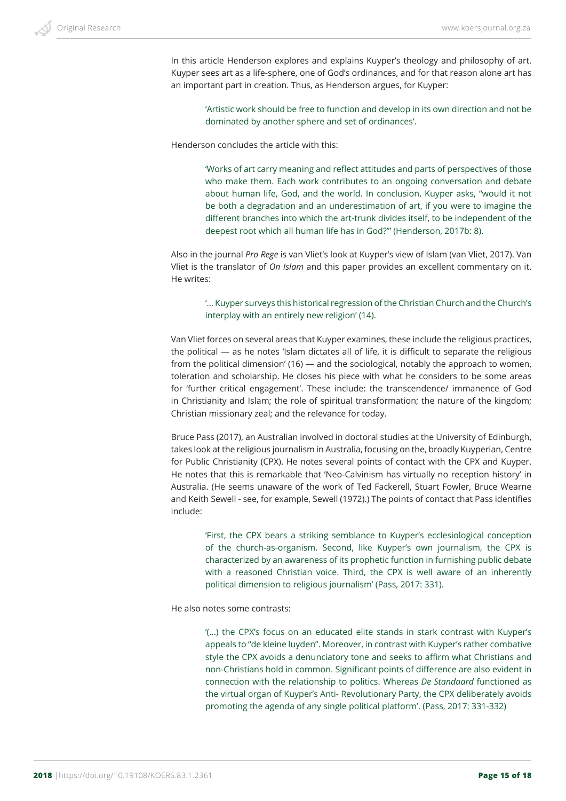In this article Henderson explores and explains Kuyper's theology and philosophy of art. Kuyper sees art as a life-sphere, one of God's ordinances, and for that reason alone art has an important part in creation. Thus, as Henderson argues, for Kuyper:

'Artistic work should be free to function and develop in its own direction and not be dominated by another sphere and set of ordinances'.

Henderson concludes the article with this:

'Works of art carry meaning and reflect attitudes and parts of perspectives of those who make them. Each work contributes to an ongoing conversation and debate about human life, God, and the world. In conclusion, Kuyper asks, "would it not be both a degradation and an underestimation of art, if you were to imagine the different branches into which the art-trunk divides itself, to be independent of the deepest root which all human life has in God?"' (Henderson, 2017b: 8).

Also in the journal *Pro Rege* is van Vliet's look at Kuyper's view of Islam (van Vliet, 2017). Van Vliet is the translator of *On Islam* and this paper provides an excellent commentary on it. He writes:

'… Kuyper surveys this historical regression of the Christian Church and the Church's interplay with an entirely new religion' (14).

Van Vliet forces on several areas that Kuyper examines, these include the religious practices, the political — as he notes 'Islam dictates all of life, it is difficult to separate the religious from the political dimension' (16) — and the sociological, notably the approach to women, toleration and scholarship. He closes his piece with what he considers to be some areas for 'further critical engagement'. These include: the transcendence/ immanence of God in Christianity and Islam; the role of spiritual transformation; the nature of the kingdom; Christian missionary zeal; and the relevance for today.

Bruce Pass (2017), an Australian involved in doctoral studies at the University of Edinburgh, takes look at the religious journalism in Australia, focusing on the, broadly Kuyperian, Centre for Public Christianity (CPX). He notes several points of contact with the CPX and Kuyper. He notes that this is remarkable that 'Neo-Calvinism has virtually no reception history' in Australia. (He seems unaware of the work of Ted Fackerell, Stuart Fowler, Bruce Wearne and Keith Sewell - see, for example, Sewell (1972).) The points of contact that Pass identifies include:

'First, the CPX bears a striking semblance to Kuyper's ecclesiological conception of the church-as-organism. Second, like Kuyper's own journalism, the CPX is characterized by an awareness of its prophetic function in furnishing public debate with a reasoned Christian voice. Third, the CPX is well aware of an inherently political dimension to religious journalism' (Pass, 2017: 331).

He also notes some contrasts:

'(…) the CPX's focus on an educated elite stands in stark contrast with Kuyper's appeals to "de kleine luyden". Moreover, in contrast with Kuyper's rather combative style the CPX avoids a denunciatory tone and seeks to affirm what Christians and non-Christians hold in common. Significant points of difference are also evident in connection with the relationship to politics. Whereas *De Standaard* functioned as the virtual organ of Kuyper's Anti- Revolutionary Party, the CPX deliberately avoids promoting the agenda of any single political platform'. (Pass, 2017: 331-332)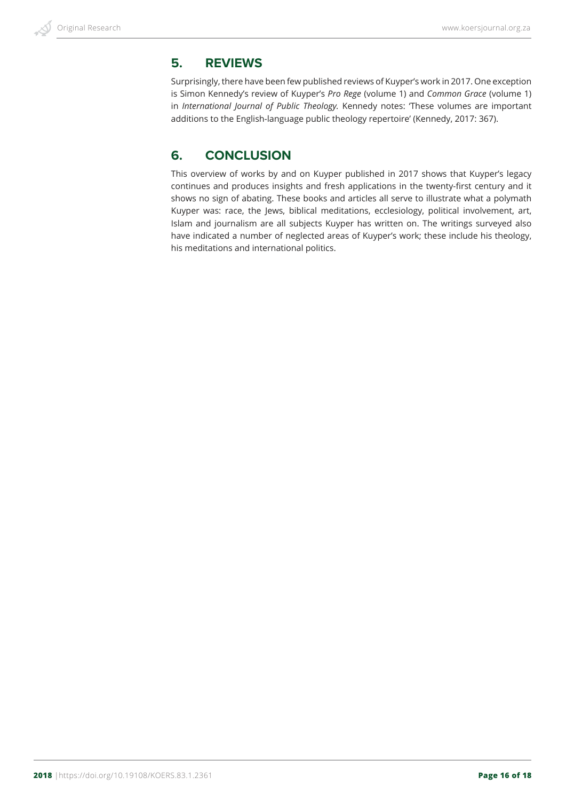# **5. REVIEWS**

Surprisingly, there have been few published reviews of Kuyper's work in 2017. One exception is Simon Kennedy's review of Kuyper's *Pro Rege* (volume 1) and *Common Grace* (volume 1) in *International Journal of Public Theology.* Kennedy notes: 'These volumes are important additions to the English-language public theology repertoire' (Kennedy, 2017: 367).

# **6. CONCLUSION**

This overview of works by and on Kuyper published in 2017 shows that Kuyper's legacy continues and produces insights and fresh applications in the twenty-first century and it shows no sign of abating. These books and articles all serve to illustrate what a polymath Kuyper was: race, the Jews, biblical meditations, ecclesiology, political involvement, art, Islam and journalism are all subjects Kuyper has written on. The writings surveyed also have indicated a number of neglected areas of Kuyper's work; these include his theology, his meditations and international politics.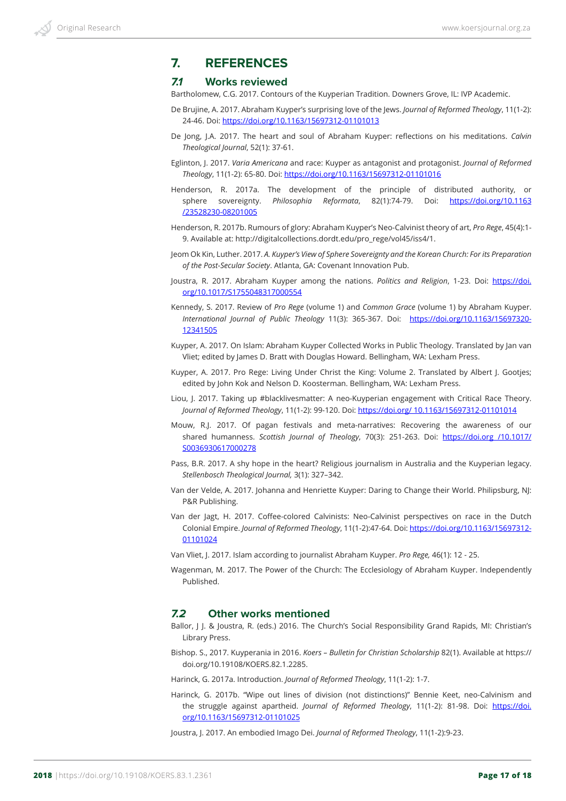# **7. REFERENCES**

## *7.1* **Works reviewed**

Bartholomew, C.G. 2017. Contours of the Kuyperian Tradition. Downers Grove, IL: IVP Academic.

- De Brujine, A. 2017. Abraham Kuyper's surprising love of the Jews. *Journal of Reformed Theology*, 11(1-2): 24-46. Doi: <https://doi.org/10.1163/15697312-01101013>
- De Jong, J.A. 2017. The heart and soul of Abraham Kuyper: reflections on his meditations. *Calvin Theological Journal*, 52(1): 37-61.
- Eglinton, J. 2017. *Varia Americana* and race: Kuyper as antagonist and protagonist. *Journal of Reformed Theology*, 11(1-2): 65-80. Doi: https://doi.org/[10.1163/15697312-01101016](https://doi.org/10.1163/15697312-01101016)
- Henderson, R. 2017a. The development of the principle of distributed authority, or sphere sovereignty. *Philosophia Reformata*, 82(1):74-79. Doi: [https://doi.org/10.1163](https://doi.org/10.1163/23528230-08201005) [/23528230-08201005](https://doi.org/10.1163/23528230-08201005)
- Henderson, R. 2017b. Rumours of glory: Abraham Kuyper's Neo-Calvinist theory of art, *Pro Rege*, 45(4):1- 9. Available at: http://digitalcollections.dordt.edu/pro\_rege/vol45/iss4/1.
- Jeom Ok Kin, Luther. 2017. *A. Kuyper's View of Sphere Sovereignty and the Korean Church: For its Preparation of the Post-Secular Society*. Atlanta, GA: Covenant Innovation Pub.
- Joustra, R. 2017. Abraham Kuyper among the nations. *Politics and Religion*, 1-23. Doi: [https://doi.](https://doi.org/10.1017/S1755048317000554) [org/10.1017/S1755048317000554](https://doi.org/10.1017/S1755048317000554)
- Kennedy, S. 2017. Review of *Pro Rege* (volume 1) and *Common Grace* (volume 1) by Abraham Kuyper. *International Journal of Public Theology* 11(3): 365-367. Doi: [https://doi.org/10.1163/15697320-](https://doi-org.nwulib.nwu.ac.za/10.1163/15697320-12341505) [12341505](https://doi-org.nwulib.nwu.ac.za/10.1163/15697320-12341505)
- Kuyper, A. 2017. On Islam: Abraham Kuyper Collected Works in Public Theology. Translated by Jan van Vliet; edited by James D. Bratt with Douglas Howard. Bellingham, WA: Lexham Press.
- Kuyper, A. 2017. Pro Rege: Living Under Christ the King: Volume 2. Translated by Albert J. Gootjes; edited by John Kok and Nelson D. Koosterman. Bellingham, WA: Lexham Press.
- Liou, J. 2017. Taking up #blacklivesmatter: A neo-Kuyperian engagement with Critical Race Theory. *Journal of Reformed Theology*, 11(1-2): 99-120. Doi: [https://doi.org/ 10.1163/15697312-01101014](https://doi.org/10.1163/15697312-01101014)
- Mouw, R.J. 2017. Of pagan festivals and meta-narratives: Recovering the awareness of our shared humanness. *Scottish Journal of Theology*, 70(3): 251-263. Doi: https://doi.org /10.1017/ S0036930617000278
- Pass, B.R. 2017. A shy hope in the heart? Religious journalism in Australia and the Kuyperian legacy. *Stellenbosch Theological Journal,* 3(1): 327–342.
- Van der Velde, A. 2017. Johanna and Henriette Kuyper: Daring to Change their World. Philipsburg, NJ: P&R Publishing.
- Van der Jagt, H. 2017. Coffee-colored Calvinists: Neo-Calvinist perspectives on race in the Dutch Colonial Empire. *Journal of Reformed Theology*, 11(1-2):47-64. Doi: [https://doi.org/10.1163/15697312-](https://doi.org/10.1163/15697312-01101024) [01101024](https://doi.org/10.1163/15697312-01101024)

Van Vliet, J. 2017. Islam according to journalist Abraham Kuyper. *Pro Rege,* 46(1): 12 - 25.

Wagenman, M. 2017. The Power of the Church: The Ecclesiology of Abraham Kuyper. Independently Published.

## *7.2* **Other works mentioned**

- Ballor, J J. & Joustra, R. (eds.) 2016. The Church's Social Responsibility Grand Rapids, MI: Christian's Library Press.
- Bishop. S., 2017. Kuyperania in 2016. *Koers Bulletin for Christian Scholarship* 82(1). Available at https:// doi.org/10.19108/KOERS.82.1.2285.

Harinck, G. 2017a. Introduction. *Journal of Reformed Theology*, 11(1-2): 1-7.

Harinck, G. 2017b. "Wipe out lines of division (not distinctions)" Bennie Keet, neo-Calvinism and the struggle against apartheid. *Journal of Reformed Theology*, 11(1-2): 81-98. Doi: [https://doi.](https://doi.org/10.1163/15697312-01101025) [org/10.1163/15697312-01101025](https://doi.org/10.1163/15697312-01101025)

Joustra, J. 2017. An embodied Imago Dei. *Journal of Reformed Theology*, 11(1-2):9-23.